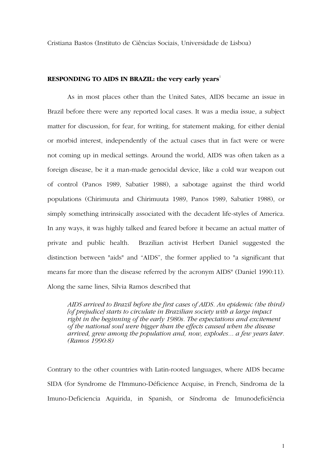Cristiana Bastos (Instituto de Ciências Sociais, Universidade de Lisboa)

## **RESPONDING TO AIDS IN BRAZIL: the very early years<sup>1</sup>**

As in most places other than the United Sates, AIDS became an issue in Brazil before there were any reported local cases. It was a media issue, a subject matter for discussion, for fear, for writing, for statement making, for either denial or morbid interest, independently of the actual cases that in fact were or were not coming up in medical settings. Around the world, AIDS was often taken as a foreign disease, be it a man-made genocidal device, like a cold war weapon out of control (Panos 1989, Sabatier 1988), a sabotage against the third world populations (Chirimuuta and Chirimuuta 1989, Panos 1989, Sabatier 1988), or simply something intrinsically associated with the decadent life-styles of America. In any ways, it was highly talked and feared before it became an actual matter of private and public health. Brazilian activist Herbert Daniel suggested the distinction between "aids" and "AIDS", the former applied to "a significant that means far more than the disease referred by the acronym AIDS" (Daniel 1990:11). Along the same lines, Silvia Ramos described that

*AIDS arrived to Brazil before the first cases of AIDS. An epidemic (the third) [of prejudice] starts to circulate in Brazilian society with a large impact right in the beginning of the early 1980s. The expectations and excitement of the national soul were bigger than the effects caused when the disease arrived, grew among the population and, now, explodes... a few years later. (Ramos 1990:8)* 

Contrary to the other countries with Latin-rooted languages, where AIDS became SIDA (for Syndrome de l'Immuno-Déficience Acquise, in French, Sindroma de la Imuno-Deficiencia Aquirida, in Spanish, or Síndroma de Imunodeficiência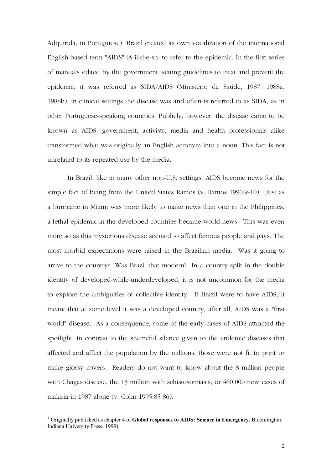Adquirida, in Portuguese), Brazil created its own vocalization of the international English-based term "AIDS" [A-ii-d-e-sh] to refer to the epidemic. In the first series of manuals edited by the government, setting guidelines to treat and prevent the epidemic, it was referred as SIDA/AIDS (Ministério da Saúde, 1987, 1988a, 1988b); in clinical settings the disease was and often is referred to as SIDA, as in other Portuguese-speaking countries. Publicly, however, the disease came to be known as AIDS; government, activists, media and health professionals alike transformed what was originally an English acronym into a noun. This fact is not unrelated to its repeated use by the media.

In Brazil, like in many other non-U.S. settings, AIDS become news for the simple fact of being from the United States Ramos (v. Ramos 1990:9-10). Just as a hurricane in Miami was more likely to make news than one in the Philippines, a lethal epidemic in the developed countries became world news. This was even more so as this mysterious disease seemed to affect famous people and gays. The most morbid expectations were raised in the Brazilian media. Was it going to arrive to the country? Was Brazil that modern? In a country split in the double identity of developed-while-underdeveloped, it is not uncommon for the media to explore the ambiguities of collective identity. If Brazil were to have AIDS, it meant that at some level it was a developed country; after all, AIDS was a "first world" disease. As a consequence, some of the early cases of AIDS attracted the spotlight, in contrast to the shameful silence given to the endemic diseases that affected and affect the population by the millions; those were not fit to print or make glossy covers. Readers do not want to know about the 8 million people with Chagas disease, the 13 million with schistosomiasis, or 460,000 new cases of malaria in 1987 alone (v. Cohn 1995:85-86).

<sup>&</sup>lt;sup>1</sup> Originally published as chapter 4 of **Global responses to AIDS: Science in Emergency.** Bloomington: Indiana University Press, 1999).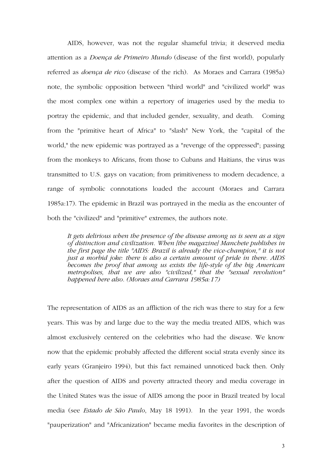AIDS, however, was not the regular shameful trivia; it deserved media attention as a *Doença de Primeiro Mundo* (disease of the first world), popularly referred as *doença de rico* (disease of the rich). As Moraes and Carrara (1985a) note, the symbolic opposition between "third world" and "civilized world" was the most complex one within a repertory of imageries used by the media to portray the epidemic, and that included gender, sexuality, and death. Coming from the "primitive heart of Africa" to "slash" New York, the "capital of the world," the new epidemic was portrayed as a "revenge of the oppressed"; passing from the monkeys to Africans, from those to Cubans and Haitians, the virus was transmitted to U.S. gays on vacation; from primitiveness to modern decadence, a range of symbolic connotations loaded the account (Moraes and Carrara 1985a:17). The epidemic in Brazil was portrayed in the media as the encounter of both the "civilized" and "primitive" extremes, the authors note.

*It gets delirious when the presence of the disease among us is seen as a sign of distinction and civilization. When [the magazine] Manchete publishes in the first page the title "AIDS: Brazil is already the vice-champion," it is not just a morbid joke: there is also a certain amount of pride in there. AIDS becomes the proof that among us exists the life-style of the big American*  metropolises, that we are also "civilized," that the "sexual revolution" *happened here also. (Moraes and Carrara 1985a:17)* 

The representation of AIDS as an affliction of the rich was there to stay for a few years. This was by and large due to the way the media treated AIDS, which was almost exclusively centered on the celebrities who had the disease. We know now that the epidemic probably affected the different social strata evenly since its early years (Granjeiro 1994), but this fact remained unnoticed back then. Only after the question of AIDS and poverty attracted theory and media coverage in the United States was the issue of AIDS among the poor in Brazil treated by local media (see *Estado de São Paulo*, May 18 1991). In the year 1991, the words "pauperization" and "Africanization" became media favorites in the description of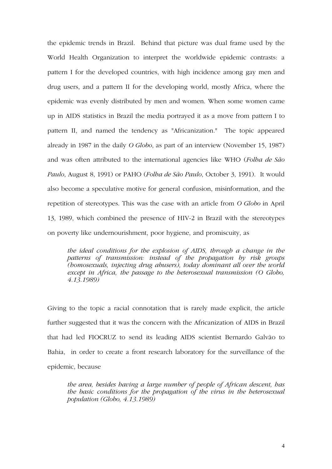the epidemic trends in Brazil. Behind that picture was dual frame used by the World Health Organization to interpret the worldwide epidemic contrasts: a pattern I for the developed countries, with high incidence among gay men and drug users, and a pattern II for the developing world, mostly Africa, where the epidemic was evenly distributed by men and women. When some women came up in AIDS statistics in Brazil the media portrayed it as a move from pattern I to pattern II, and named the tendency as "Africanization." The topic appeared already in 1987 in the daily *O Globo*, as part of an interview (November 15, 1987) and was often attributed to the international agencies like WHO (*Folha de São Paulo*, August 8, 1991) or PAHO (*Folha de São Paulo*, October 3, 1991). It would also become a speculative motive for general confusion, misinformation, and the repetition of stereotypes. This was the case with an article from *O Globo* in April 13, 1989, which combined the presence of HIV-2 in Brazil with the stereotypes on poverty like undernourishment, poor hygiene, and promiscuity, as

*the ideal conditions for the explosion of AIDS, through a change in the patterns of transmission: instead of the propagation by risk groups (homosexuals, injecting drug abusers), today dominant all over the world except in Africa, the passage to the heterosexual transmission (O Globo, 4.13.1989)* 

Giving to the topic a racial connotation that is rarely made explicit, the article further suggested that it was the concern with the Africanization of AIDS in Brazil that had led FIOCRUZ to send its leading AIDS scientist Bernardo Galvão to Bahia, in order to create a front research laboratory for the surveillance of the epidemic, because

*the area, besides having a large number of people of African descent, has the basic conditions for the propagation of the virus in the heterosexual population (Globo, 4.13.1989)*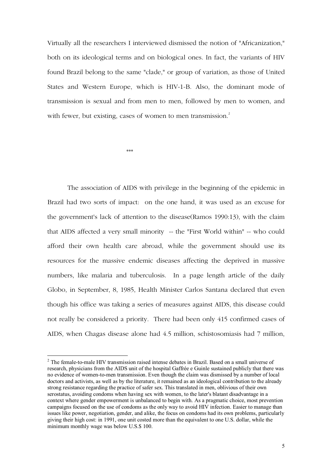Virtually all the researchers I interviewed dismissed the notion of "Africanization," both on its ideological terms and on biological ones. In fact, the variants of HIV found Brazil belong to the same "clade," or group of variation, as those of United States and Western Europe, which is HIV-1-B. Also, the dominant mode of transmission is sexual and from men to men, followed by men to women, and with fewer, but existing, cases of women to men transmission.<sup>2</sup>

 $\begin{aligned} \mathcal{H}\cdot\mathcal{H}\cdot\mathcal{H}\cdot\mathcal{H}\cdot\mathcal{H}\cdot\mathcal{H}\cdot\mathcal{H}\cdot\mathcal{H}\cdot\mathcal{H}\cdot\mathcal{H}\cdot\mathcal{H}\cdot\mathcal{H}\cdot\mathcal{H}\cdot\mathcal{H}\cdot\mathcal{H}\cdot\mathcal{H}\cdot\mathcal{H}\cdot\mathcal{H}\cdot\mathcal{H}\cdot\mathcal{H}\cdot\mathcal{H}\cdot\mathcal{H}\cdot\mathcal{H}\cdot\mathcal{H}\cdot\mathcal{H}\cdot\mathcal{H}\cdot\mathcal{H}\cdot\mathcal{H}\cdot\mathcal{H}\cdot\mathcal{H}\cdot\mathcal{H$ 

 $\overline{a}$ 

The association of AIDS with privilege in the beginning of the epidemic in Brazil had two sorts of impact: on the one hand, it was used as an excuse for the government's lack of attention to the disease(Ramos 1990:13), with the claim that AIDS affected a very small minority -- the "First World within" -- who could afford their own health care abroad, while the government should use its resources for the massive endemic diseases affecting the deprived in massive numbers, like malaria and tuberculosis. In a page length article of the daily Globo, in September, 8, 1985, Health Minister Carlos Santana declared that even though his office was taking a series of measures against AIDS, this disease could not really be considered a priority. There had been only 415 confirmed cases of AIDS, when Chagas disease alone had 4.5 million, schistosomiasis had 7 million,

 $2$  The female-to-male HIV transmission raised intense debates in Brazil. Based on a small universe of research, physicians from the AIDS unit of the hospital Gaffrée e Guinle sustained publicly that there was no evidence of women-to-men transmission. Even though the claim was dismissed by a number of local doctors and activists, as well as by the literature, it remained as an ideological contribution to the already strong resistance regarding the practice of safer sex. This translated in men, oblivious of their own serostatus, avoiding condoms when having sex with women, to the later's blatant disadvantage in a context where gender empowerment is unbalanced to begin with. As a pragmatic choice, most prevention campaigns focused on the use of condoms as the only way to avoid HIV infection. Easier to manage than issues like power, negotiation, gender, and alike, the focus on condoms had its own problems, particularly giving their high cost: in 1991, one unit costed more than the equivalent to one U.S. dollar, while the minimum monthly wage was below U.S.\$ 100.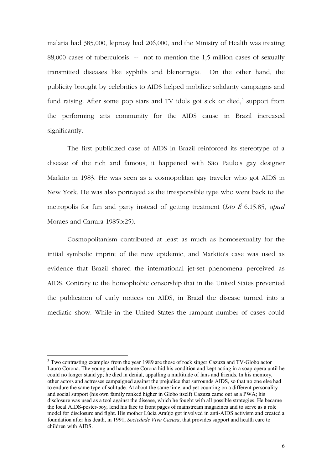malaria had 385,000, leprosy had 206,000, and the Ministry of Health was treating 88,000 cases of tuberculosis -- not to mention the 1,5 million cases of sexually transmitted diseases like syphilis and blenorragia. On the other hand, the publicity brought by celebrities to AIDS helped mobilize solidarity campaigns and fund raising. After some pop stars and TV idols got sick or died,<sup>3</sup> support from the performing arts community for the AIDS cause in Brazil increased significantly.

The first publicized case of AIDS in Brazil reinforced its stereotype of a disease of the rich and famous; it happened with São Paulo's gay designer Markito in 1983. He was seen as a cosmopolitan gay traveler who got AIDS in New York. He was also portrayed as the irresponsible type who went back to the metropolis for fun and party instead of getting treatment (*Isto É* 6.15.85, *apud*  Moraes and Carrara 1985b:25).

Cosmopolitanism contributed at least as much as homosexuality for the initial symbolic imprint of the new epidemic, and Markito's case was used as evidence that Brazil shared the international jet-set phenomena perceived as AIDS. Contrary to the homophobic censorship that in the United States prevented the publication of early notices on AIDS, in Brazil the disease turned into a mediatic show. While in the United States the rampant number of cases could

<sup>&</sup>lt;sup>3</sup> Two contrasting examples from the year 1989 are those of rock singer Cazuza and TV-Globo actor Lauro Corona. The young and handsome Corona hid his condition and kept acting in a soap opera until he could no longer stand yp; he died in denial, appalling a multitude of fans and friends. In his memory, other actors and actresses campaigned against the prejudice that surrounds AIDS, so that no one else had to endure the same type of solitude. At about the same time, and yet counting on a different personality and social support (his own family ranked higher in Globo itself) Cazuza came out as a PWA; his disclosure was used as a tool against the disease, which he fought with all possible strategies. He became the local AIDS-poster-boy, lend his face to front pages of mainstream magazines and to serve as a role model for disclosure and fight. His mother Lúcia Araújo got involved in anti-AIDS activism and created a foundation after his death, in 1991, *Sociedade Viva Cazuza*, that provides support and health care to children with AIDS.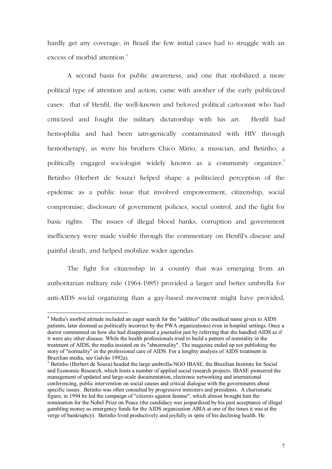hardly get any coverage, in Brazil the few initial cases had to struggle with an excess of morbid attention.<sup>4</sup>

A second basis for public awareness, and one that mobilized a more political type of attention and action, came with another of the early publicized cases: that of Henfil, the well-known and beloved political cartoonist who had criticized and fought the military dictatorship with his art. Henfil had hemophilia and had been iatrogenically contaminated with HIV through hemotherapy, as were his brothers Chico Mário, a musician, and Betinho, a politically engaged sociologist widely known as a community organizer.<sup>5</sup> Betinho (Herbert de Souza) helped shape a politicized perception of the epidemic as a public issue that involved empowerment, citizenship, social compromise, disclosure of government policies, social control, and the fight for basic rights. The issues of illegal blood banks, corruption and government inefficiency were made visible through the commentary on Henfil's disease and painful death, and helped mobilize wider agendas.

The fight for citizenship in a country that was emerging from an authoritarian military rule (1964-1985) provided a larger and better umbrella for anti-AIDS social organizing than a gay-based movement might have provided,

<sup>&</sup>lt;sup>4</sup> Media's morbid attitude included an eager search for the "aidético" (the medical name given to AIDS patients, later doomed as politically incorrect by the PWA organizations) even in hospital settings. Once a doctor commented on how she had disappointed a journalist just by referring that she handled AIDS as if it were any other disease. While the health professionals tried to build a pattern of normality in the treatment of AIDS, the media insisted on its "abnormality". The magazine ended up not publishing the story of "normality" in the professional care of AIDS. For a lenghty analysis of AIDS treatment in Brazilian media, see Galvão 1992a).

<sup>&</sup>lt;sup>5</sup> Betinho (Herbert de Souza) headed the large umbrella-NGO IBASE, the Brazilian Institute for Social and Economic Research, which hosts a number of applied social research projects. IBASE pioneered the management of updated and large-scale documentation, electronic networking and international conferencing, public intervention on social causes and critical dialogue with the governments about specific issues. Betinho was often consulted by progressive ministers and presidents. A charismatic figure, in 1994 he led the campaign of "citizens against famine", which almost brought him the nomination for the Nobel Prize on Peace (the candidacy was jeopardized by his past acceptance of illegal gambling money as emergency funds for the AIDS organization ABIA at one of the times it was at the verge of bankruptcy). Betinho lived productively and joyfully in spite of his declining health. He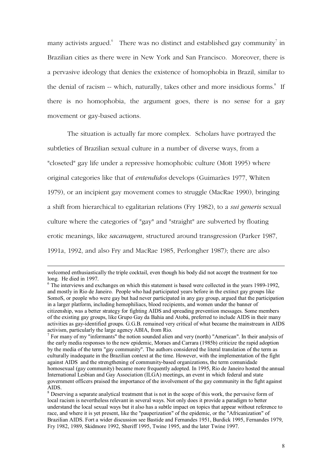many activists argued. There was no distinct and established gay community<sup>7</sup> in Brazilian cities as there were in New York and San Francisco. Moreover, there is a pervasive ideology that denies the existence of homophobia in Brazil, similar to the denial of racism -- which, naturally, takes other and more insidious forms.<sup>8</sup> If there is no homophobia, the argument goes, there is no sense for a gay movement or gay-based actions.

The situation is actually far more complex. Scholars have portrayed the subtleties of Brazilian sexual culture in a number of diverse ways, from a "closeted" gay life under a repressive homophobic culture (Mott 1995) where original categories like that of *entendidos* develops (Guimarães 1977, Whiten 1979), or an incipient gay movement comes to struggle (MacRae 1990), bringing a shift from hierarchical to egalitarian relations (Fry 1982), to a *sui generis* sexual culture where the categories of "gay" and "straight" are subverted by floating erotic meanings, like *sacanagem*, structured around transgression (Parker 1987, 1991a, 1992, and also Fry and MacRae 1985, Perlongher 1987); there are also

welcomed enthusiastically the triple cocktail, even though his body did not accept the treatment for too long. He died in 1997.

<sup>&</sup>lt;sup>6</sup> The interviews and exchanges on which this statement is based were collected in the years 1989-1992, and mostly in Rio de Janeiro. People who had participated years before in the extinct gay groups like SomoS, or people who were gay but had never participated in any gay group, argued that the participation in a larger platform, including hemophiliacs, blood recipients, and women under the banner of citizenship, was a better strategy for fighting AIDS and spreading prevention messages. Some members of the existing gay groups, like Grupo Gay da Bahia and Atobá, preferred to include AIDS in their many activities as gay-identified groups. G.G.B. remained very critical of what became the mainstream in AIDS activism, particularly the large agency ABIA, from Rio.

 $<sup>7</sup>$  For many of my "informants" the notion sounded alien and very (north) "American". In their analysis of</sup> the early media responses to the new epidemic, Moraes and Carrara (1985b) criticize the rapid adoption by the media of the term "gay community". The authors considered the literal translation of the term as culturally inadequate in the Brazilian context at the time. However, with the implementation of the fight against AIDS and the strengthening of community-based organizations, the term comunidade homosexual (gay community) became more frequently adopted. In 1995, Rio de Janeiro hosted the annual International Lesbian and Gay Association (ILGA) meetings, an event in which federal and state government officers praised the importance of the involvement of the gay community in the fight against AIDS.

<sup>&</sup>lt;sup>8</sup> Deserving a separate analytical treatment that is not in the scope of this work, the pervasive form of local racism is nevertheless relevant in several ways. Not only does it provide a paradigm to better understand the local sexual ways but it also has a subtle impact on topics that appear without reference to race, and where it is yet present, like the "pauperization" of the epidemic, or the "Africanization" of Brazilian AIDS. Fort a wider discussion see Bastide and Fernandes 1951, Burdick 1995, Fernandes 1979, Fry 1982, 1989, Skidmore 1992, Sheriff 1995, Twine 1995, and the later Twine 1997.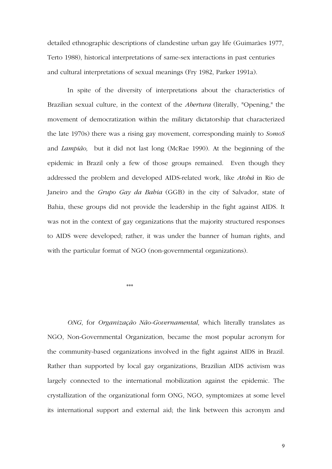detailed ethnographic descriptions of clandestine urban gay life (Guimarães 1977, Terto 1988), historical interpretations of same-sex interactions in past centuries and cultural interpretations of sexual meanings (Fry 1982, Parker 1991a).

In spite of the diversity of interpretations about the characteristics of Brazilian sexual culture, in the context of the *Abertura* (literally, "Opening," the movement of democratization within the military dictatorship that characterized the late 1970s) there was a rising gay movement, corresponding mainly to *SomoS*  and *Lampião,* but it did not last long (McRae 1990). At the beginning of the epidemic in Brazil only a few of those groups remained. Even though they addressed the problem and developed AIDS-related work, like *Atobá* in Rio de Janeiro and the *Grupo Gay da Bahia* (GGB) in the city of Salvador, state of Bahia, these groups did not provide the leadership in the fight against AIDS. It was not in the context of gay organizations that the majority structured responses to AIDS were developed; rather, it was under the banner of human rights, and with the particular format of NGO (non-governmental organizations).

 $***$ 

*ONG*, for *Organização Não-Governamental*, which literally translates as NGO, Non-Governmental Organization, became the most popular acronym for the community-based organizations involved in the fight against AIDS in Brazil. Rather than supported by local gay organizations, Brazilian AIDS activism was largely connected to the international mobilization against the epidemic. The crystallization of the organizational form ONG, NGO, symptomizes at some level its international support and external aid; the link between this acronym and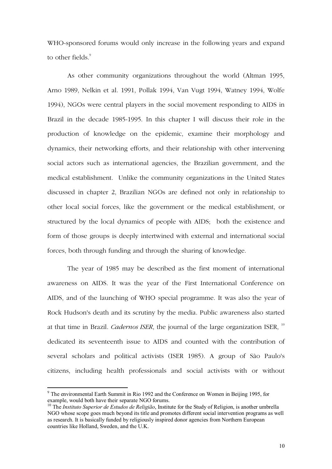WHO-sponsored forums would only increase in the following years and expand to other fields.<sup>9</sup>

As other community organizations throughout the world (Altman 1995, Arno 1989, Nelkin et al. 1991, Pollak 1994, Van Vugt 1994, Watney 1994, Wolfe 1994), NGOs were central players in the social movement responding to AIDS in Brazil in the decade 1985-1995. In this chapter I will discuss their role in the production of knowledge on the epidemic, examine their morphology and dynamics, their networking efforts, and their relationship with other intervening social actors such as international agencies, the Brazilian government, and the medical establishment. Unlike the community organizations in the United States discussed in chapter 2, Brazilian NGOs are defined not only in relationship to other local social forces, like the government or the medical establishment, or structured by the local dynamics of people with AIDS; both the existence and form of those groups is deeply intertwined with external and international social forces, both through funding and through the sharing of knowledge.

The year of 1985 may be described as the first moment of international awareness on AIDS. It was the year of the First International Conference on AIDS, and of the launching of WHO special programme. It was also the year of Rock Hudson's death and its scrutiny by the media. Public awareness also started at that time in Brazil. *Cadernos ISER*, the journal of the large organization ISER, <sup>10</sup> dedicated its seventeenth issue to AIDS and counted with the contribution of several scholars and political activists (ISER 1985). A group of São Paulo's citizens, including health professionals and social activists with or without

<sup>&</sup>lt;sup>9</sup> The environmental Earth Summit in Rio 1992 and the Conference on Women in Beijing 1995, for example, would both have their separate NGO forums.

<sup>&</sup>lt;sup>10</sup> The *Instituto Superior de Estudos de Religião*, Institute for the Study of Religion, is another umbrella NGO whose scope goes much beyond its title and promotes different social intervention programs as well as research. It is basically funded by religiously inspired donor agencies from Northern European countries like Holland, Sweden, and the U.K.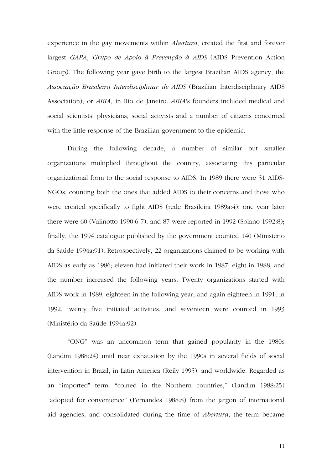experience in the gay movements within *Abertura*, created the first and forever largest *GAPA*, *Grupo de Apoio à Prevenção à AIDS* (AIDS Prevention Action Group). The following year gave birth to the largest Brazilian AIDS agency, the *Associação Brasileira Interdisciplinar de AIDS* (Brazilian Interdisciplinary AIDS Association), or *ABIA*, in Rio de Janeiro. *ABIA*'s founders included medical and social scientists, physicians, social activists and a number of citizens concerned with the little response of the Brazilian government to the epidemic.

During the following decade, a number of similar but smaller organizations multiplied throughout the country, associating this particular organizational form to the social response to AIDS. In 1989 there were 51 AIDS-NGOs, counting both the ones that added AIDS to their concerns and those who were created specifically to fight AIDS (rede Brasileira 1989a:4); one year later there were 60 (Valinotto 1990:6-7), and 87 were reported in 1992 (Solano 1992:8); finally, the 1994 catalogue published by the government counted 140 (Ministério da Saúde 1994a:91). Retrospectively, 22 organizations claimed to be working with AIDS as early as 1986; eleven had initiated their work in 1987, eight in 1988, and the number increased the following years. Twenty organizations started with AIDS work in 1989, eighteen in the following year, and again eighteen in 1991; in 1992, twenty five initiated activities, and seventeen were counted in 1993 (Ministério da Saúde 1994a:92).

"ONG" was an uncommon term that gained popularity in the 1980s (Landim 1988:24) until near exhaustion by the 1990s in several fields of social intervention in Brazil, in Latin America (Reily 1995), and worldwide. Regarded as an "imported" term, "coined in the Northern countries," (Landim 1988:25) "adopted for convenience" (Fernandes 1988:8) from the jargon of international aid agencies, and consolidated during the time of *Abertura*, the term became

11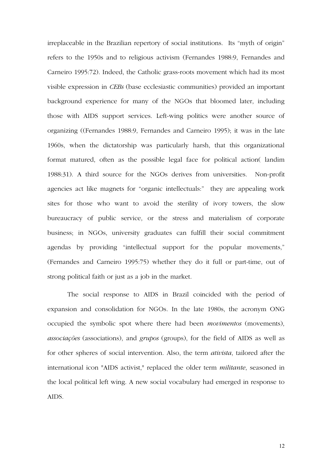irreplaceable in the Brazilian repertory of social institutions. Its "myth of origin" refers to the 1950s and to religious activism (Fernandes 1988:9, Fernandes and Carneiro 1995:72). Indeed, the Catholic grass-roots movement which had its most visible expression in *CEBs* (base ecclesiastic communities) provided an important background experience for many of the NGOs that bloomed later, including those with AIDS support services. Left-wing politics were another source of organizing ((Fernandes 1988:9, Fernandes and Carneiro 1995); it was in the late 1960s, when the dictatorship was particularly harsh, that this organizational format matured, often as the possible legal face for political action( landim 1988:31). A third source for the NGOs derives from universities. Non-profit agencies act like magnets for "organic intellectuals:" they are appealing work sites for those who want to avoid the sterility of ivory towers, the slow bureaucracy of public service, or the stress and materialism of corporate business; in NGOs, university graduates can fulfill their social commitment agendas by providing "intellectual support for the popular movements," (Fernandes and Carneiro 1995:75) whether they do it full or part-time, out of strong political faith or just as a job in the market.

The social response to AIDS in Brazil coincided with the period of expansion and consolidation for NGOs. In the late 1980s, the acronym ONG occupied the symbolic spot where there had been *movimentos* (movements), *associações* (associations), and *grupos* (groups), for the field of AIDS as well as for other spheres of social intervention. Also, the term *ativista*, tailored after the international icon "AIDS activist," replaced the older term *militante*, seasoned in the local political left wing. A new social vocabulary had emerged in response to AIDS.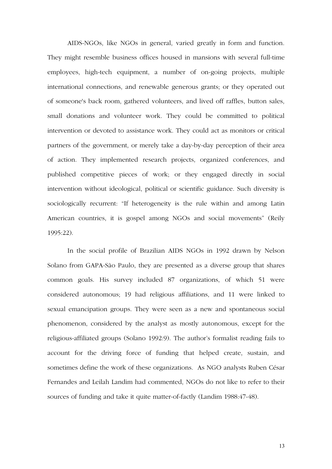AIDS-NGOs, like NGOs in general, varied greatly in form and function. They might resemble business offices housed in mansions with several full-time employees, high-tech equipment, a number of on-going projects, multiple international connections, and renewable generous grants; or they operated out of someone's back room, gathered volunteers, and lived off raffles, button sales, small donations and volunteer work. They could be committed to political intervention or devoted to assistance work. They could act as monitors or critical partners of the government, or merely take a day-by-day perception of their area of action. They implemented research projects, organized conferences, and published competitive pieces of work; or they engaged directly in social intervention without ideological, political or scientific guidance. Such diversity is sociologically recurrent: "If heterogeneity is the rule within and among Latin American countries, it is gospel among NGOs and social movements" (Reily 1995:22).

In the social profile of Brazilian AIDS NGOs in 1992 drawn by Nelson Solano from GAPA-São Paulo, they are presented as a diverse group that shares common goals. His survey included 87 organizations, of which 51 were considered autonomous; 19 had religious affiliations, and 11 were linked to sexual emancipation groups. They were seen as a new and spontaneous social phenomenon, considered by the analyst as mostly autonomous, except for the religious-affiliated groups (Solano 1992:9). The author's formalist reading fails to account for the driving force of funding that helped create, sustain, and sometimes define the work of these organizations. As NGO analysts Ruben César Fernandes and Leilah Landim had commented, NGOs do not like to refer to their sources of funding and take it quite matter-of-factly (Landim 1988:47-48).

13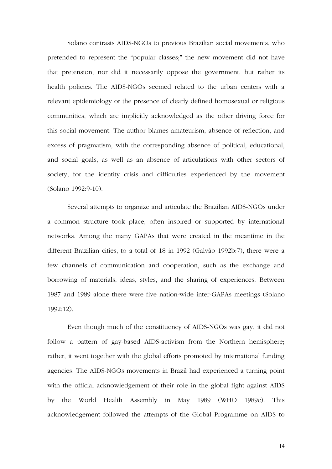Solano contrasts AIDS-NGOs to previous Brazilian social movements, who pretended to represent the "popular classes;" the new movement did not have that pretension, nor did it necessarily oppose the government, but rather its health policies. The AIDS-NGOs seemed related to the urban centers with a relevant epidemiology or the presence of clearly defined homosexual or religious communities, which are implicitly acknowledged as the other driving force for this social movement. The author blames amateurism, absence of reflection, and excess of pragmatism, with the corresponding absence of political, educational, and social goals, as well as an absence of articulations with other sectors of society, for the identity crisis and difficulties experienced by the movement (Solano 1992:9-10).

Several attempts to organize and articulate the Brazilian AIDS-NGOs under a common structure took place, often inspired or supported by international networks. Among the many GAPAs that were created in the meantime in the different Brazilian cities, to a total of 18 in 1992 (Galvão 1992b:7), there were a few channels of communication and cooperation, such as the exchange and borrowing of materials, ideas, styles, and the sharing of experiences. Between 1987 and 1989 alone there were five nation-wide inter-GAPAs meetings (Solano 1992:12).

Even though much of the constituency of AIDS-NGOs was gay, it did not follow a pattern of gay-based AIDS-activism from the Northern hemisphere; rather, it went together with the global efforts promoted by international funding agencies. The AIDS-NGOs movements in Brazil had experienced a turning point with the official acknowledgement of their role in the global fight against AIDS by the World Health Assembly in May 1989 (WHO 1989c). This acknowledgement followed the attempts of the Global Programme on AIDS to

14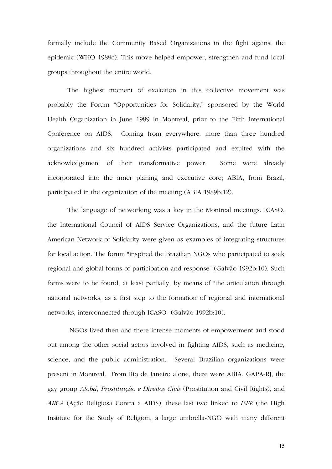formally include the Community Based Organizations in the fight against the epidemic (WHO 1989c). This move helped empower, strengthen and fund local groups throughout the entire world.

The highest moment of exaltation in this collective movement was probably the Forum "Opportunities for Solidarity," sponsored by the World Health Organization in June 1989 in Montreal, prior to the Fifth International Conference on AIDS. Coming from everywhere, more than three hundred organizations and six hundred activists participated and exulted with the acknowledgement of their transformative power. Some were already incorporated into the inner planing and executive core; ABIA, from Brazil, participated in the organization of the meeting (ABIA 1989b:12).

The language of networking was a key in the Montreal meetings. ICASO, the International Council of AIDS Service Organizations, and the future Latin American Network of Solidarity were given as examples of integrating structures for local action. The forum "inspired the Brazilian NGOs who participated to seek regional and global forms of participation and response" (Galvão 1992b:10). Such forms were to be found, at least partially, by means of "the articulation through national networks, as a first step to the formation of regional and international networks, interconnected through ICASO" (Galvão 1992b:10).

 NGOs lived then and there intense moments of empowerment and stood out among the other social actors involved in fighting AIDS, such as medicine, science, and the public administration. Several Brazilian organizations were present in Montreal. From Rio de Janeiro alone, there were ABIA, GAPA-RJ, the gay group *Atobá*, *Prostituição e Direitos Civis* (Prostitution and Civil Rights), and *ARCA* (Ação Religiosa Contra a AIDS), these last two linked to *ISER* (the High Institute for the Study of Religion, a large umbrella-NGO with many different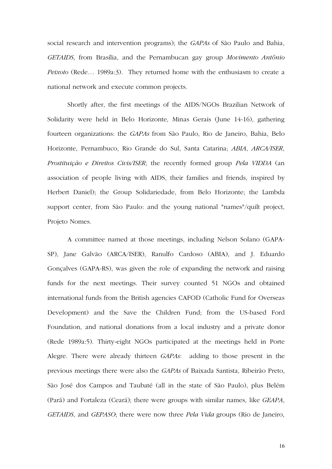social research and intervention programs); the *GAPAs* of São Paulo and Bahia, *GETAIDS*, from Brasília, and the Pernambucan gay group *Movimento Antônio Peixoto* (Rede… 1989a:3). They returned home with the enthusiasm to create a national network and execute common projects.

Shortly after, the first meetings of the AIDS/NGOs Brazilian Network of Solidarity were held in Belo Horizonte, Minas Gerais (June 14-16), gathering fourteen organizations: the *GAPAs* from São Paulo, Rio de Janeiro, Bahia, Belo Horizonte, Pernambuco, Rio Grande do Sul, Santa Catarina; *ABIA*, *ARCA/ISER*, *Prostituição e Direitos Civis/ISER*; the recently formed group *Pela VIDDA* (an association of people living with AIDS, their families and friends, inspired by Herbert Daniel); the Group Solidariedade, from Belo Horizonte; the Lambda support center, from São Paulo: and the young national "names"/quilt project, Projeto Nomes.

A committee named at those meetings, including Nelson Solano (GAPA-SP), Jane Galvão (ARCA/ISER), Ranulfo Cardoso (ABIA), and J. Eduardo Gonçalves (GAPA-RS), was given the role of expanding the network and raising funds for the next meetings. Their survey counted 51 NGOs and obtained international funds from the British agencies CAFOD (Catholic Fund for Overseas Development) and the Save the Children Fund; from the US-based Ford Foundation, and national donations from a local industry and a private donor (Rede 1989a:5). Thirty-eight NGOs participated at the meetings held in Porte Alegre. There were already thirteen *GAPAs*: adding to those present in the previous meetings there were also the *GAPAs* of Baixada Santista, Ribeirão Preto, São José dos Campos and Taubaté (all in the state of São Paulo), plus Belém (Pará) and Fortaleza (Ceará); there were groups with similar names, like *GEAPA*, *GETAIDS*, and *GEPASO*; there were now three *Pela Vida* groups (Rio de Janeiro,

16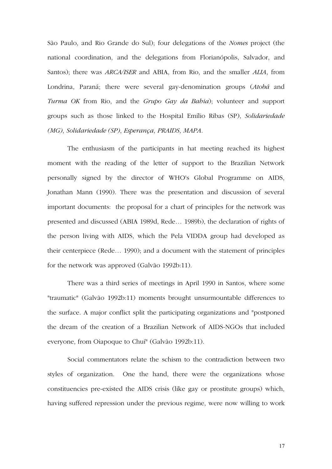São Paulo, and Rio Grande do Sul); four delegations of the *Nomes* project (the national coordination, and the delegations from Florianópolis, Salvador, and Santos); there was *ARCA/ISER* and ABIA, from Rio, and the smaller *ALIA*, from Londrina, Paraná; there were several gay-denomination groups (*Atobá* and *Turma OK* from Rio, and the *Grupo Gay da Bahia*); volunteer and support groups such as those linked to the Hospital Emílio Ribas (SP), *Solidariedade (MG)*, *Solidariedade (SP)*, *Esperança*, *PRAIDS*, *MAPA*.

The enthusiasm of the participants in hat meeting reached its highest moment with the reading of the letter of support to the Brazilian Network personally signed by the director of WHO's Global Programme on AIDS, Jonathan Mann (1990). There was the presentation and discussion of several important documents: the proposal for a chart of principles for the network was presented and discussed (ABIA 1989d, Rede… 1989b), the declaration of rights of the person living with AIDS, which the Pela VIDDA group had developed as their centerpiece (Rede… 1990); and a document with the statement of principles for the network was approved (Galvão 1992b:11).

There was a third series of meetings in April 1990 in Santos, where some "traumatic" (Galvão 1992b:11) moments brought unsurmountable differences to the surface. A major conflict split the participating organizations and "postponed the dream of the creation of a Brazilian Network of AIDS-NGOs that included everyone, from Oiapoque to Chuí" (Galvão 1992b:11).

Social commentators relate the schism to the contradiction between two styles of organization. One the hand, there were the organizations whose constituencies pre-existed the AIDS crisis (like gay or prostitute groups) which, having suffered repression under the previous regime, were now willing to work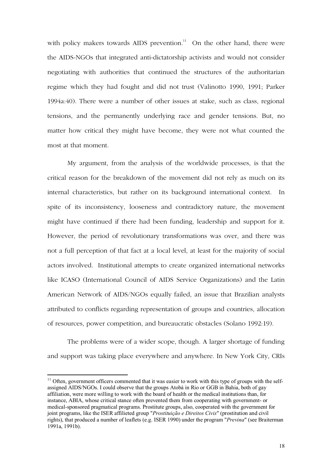with policy makers towards AIDS prevention.<sup>11</sup> On the other hand, there were the AIDS-NGOs that integrated anti-dictatorship activists and would not consider negotiating with authorities that continued the structures of the authoritarian regime which they had fought and did not trust (Valinotto 1990, 1991; Parker 1994a:40). There were a number of other issues at stake, such as class, regional tensions, and the permanently underlying race and gender tensions. But, no matter how critical they might have become, they were not what counted the most at that moment.

My argument, from the analysis of the worldwide processes, is that the critical reason for the breakdown of the movement did not rely as much on its internal characteristics, but rather on its background international context. In spite of its inconsistency, looseness and contradictory nature, the movement might have continued if there had been funding, leadership and support for it. However, the period of revolutionary transformations was over, and there was not a full perception of that fact at a local level, at least for the majority of social actors involved. Institutional attempts to create organized international networks like ICASO (International Council of AIDS Service Organizations) and the Latin American Network of AIDS/NGOs equally failed, an issue that Brazilian analysts attributed to conflicts regarding representation of groups and countries, allocation of resources, power competition, and bureaucratic obstacles (Solano 1992:19).

The problems were of a wider scope, though. A larger shortage of funding and support was taking place everywhere and anywhere. In New York City, CRIs

 $11$  Often, government officers commented that it was easier to work with this type of groups with the selfassigned AIDS/NGOs. I could observe that the groups Atobá in Rio or GGB in Bahia, both of gay affiliation, were more willing to work with the board of health or the medical institutions than, for instance, ABIA, whose critical stance often prevented them from cooperating with government- or medical-sponsored pragmatical programs. Prostitute groups, also, cooperated with the government for joint programs, like the ISER affilieted group "Prostituição e Direitos Civis" (prostitution and civil rights), that produced a number of leaflets (e.g. ISER 1990) under the program "*Previna*" (see Braiterman 1991a, 1991b).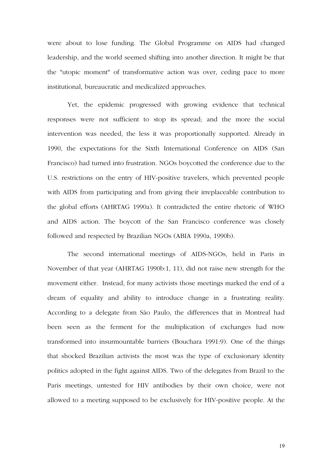were about to lose funding. The Global Programme on AIDS had changed leadership, and the world seemed shifting into another direction. It might be that the "utopic moment" of transformative action was over, ceding pace to more institutional, bureaucratic and medicalized approaches.

Yet, the epidemic progressed with growing evidence that technical responses were not sufficient to stop its spread; and the more the social intervention was needed, the less it was proportionally supported. Already in 1990, the expectations for the Sixth International Conference on AIDS (San Francisco) had turned into frustration. NGOs boycotted the conference due to the U.S. restrictions on the entry of HIV-positive travelers, which prevented people with AIDS from participating and from giving their irreplaceable contribution to the global efforts (AHRTAG 1990a). It contradicted the entire rhetoric of WHO and AIDS action. The boycott of the San Francisco conference was closely followed and respected by Brazilian NGOs (ABIA 1990a, 1990b).

The second international meetings of AIDS-NGOs, held in Paris in November of that year (AHRTAG 1990b:1, 11), did not raise new strength for the movement either. Instead, for many activists those meetings marked the end of a dream of equality and ability to introduce change in a frustrating reality. According to a delegate from São Paulo, the differences that in Montreal had been seen as the ferment for the multiplication of exchanges had now transformed into insurmountable barriers (Bouchara 1991:9). One of the things that shocked Brazilian activists the most was the type of exclusionary identity politics adopted in the fight against AIDS. Two of the delegates from Brazil to the Paris meetings, untested for HIV antibodies by their own choice, were not allowed to a meeting supposed to be exclusively for HIV-positive people. At the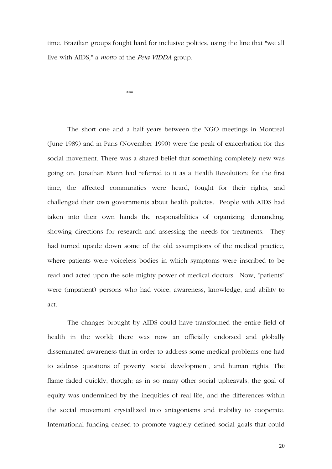time, Brazilian groups fought hard for inclusive politics, using the line that "we all live with AIDS," a *motto* of the *Pela VIDDA* group.

 $***$ 

The short one and a half years between the NGO meetings in Montreal (June 1989) and in Paris (November 1990) were the peak of exacerbation for this social movement. There was a shared belief that something completely new was going on. Jonathan Mann had referred to it as a Health Revolution: for the first time, the affected communities were heard, fought for their rights, and challenged their own governments about health policies. People with AIDS had taken into their own hands the responsibilities of organizing, demanding, showing directions for research and assessing the needs for treatments. They had turned upside down some of the old assumptions of the medical practice, where patients were voiceless bodies in which symptoms were inscribed to be read and acted upon the sole mighty power of medical doctors. Now, "patients" were (impatient) persons who had voice, awareness, knowledge, and ability to act.

The changes brought by AIDS could have transformed the entire field of health in the world; there was now an officially endorsed and globally disseminated awareness that in order to address some medical problems one had to address questions of poverty, social development, and human rights. The flame faded quickly, though; as in so many other social upheavals, the goal of equity was undermined by the inequities of real life, and the differences within the social movement crystallized into antagonisms and inability to cooperate. International funding ceased to promote vaguely defined social goals that could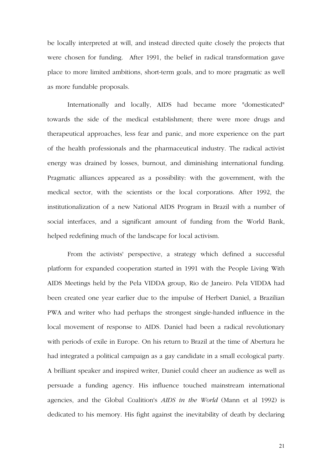be locally interpreted at will, and instead directed quite closely the projects that were chosen for funding. After 1991, the belief in radical transformation gave place to more limited ambitions, short-term goals, and to more pragmatic as well as more fundable proposals.

Internationally and locally, AIDS had became more "domesticated" towards the side of the medical establishment; there were more drugs and therapeutical approaches, less fear and panic, and more experience on the part of the health professionals and the pharmaceutical industry. The radical activist energy was drained by losses, burnout, and diminishing international funding. Pragmatic alliances appeared as a possibility: with the government, with the medical sector, with the scientists or the local corporations. After 1992, the institutionalization of a new National AIDS Program in Brazil with a number of social interfaces, and a significant amount of funding from the World Bank, helped redefining much of the landscape for local activism.

From the activists' perspective, a strategy which defined a successful platform for expanded cooperation started in 1991 with the People Living With AIDS Meetings held by the Pela VIDDA group, Rio de Janeiro. Pela VIDDA had been created one year earlier due to the impulse of Herbert Daniel, a Brazilian PWA and writer who had perhaps the strongest single-handed influence in the local movement of response to AIDS. Daniel had been a radical revolutionary with periods of exile in Europe. On his return to Brazil at the time of Abertura he had integrated a political campaign as a gay candidate in a small ecological party. A brilliant speaker and inspired writer, Daniel could cheer an audience as well as persuade a funding agency. His influence touched mainstream international agencies, and the Global Coalition's *AIDS in the World* (Mann et al 1992) is dedicated to his memory. His fight against the inevitability of death by declaring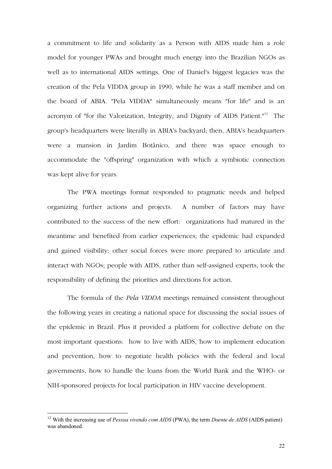a commitment to life and solidarity as a Person with AIDS made him a role model for younger PWAs and brought much energy into the Brazilian NGOs as well as to international AIDS settings. One of Daniel's biggest legacies was the creation of the Pela VIDDA group in 1990, while he was a staff member and on the board of ABIA. "Pela VIDDA" simultaneously means "for life" and is an acronym of "for the Valorization, Integrity, and Dignity of AIDS Patient."<sup>12</sup> The group's headquarters were literally in ABIA's backyard; then, ABIA's headquarters were a mansion in Jardim Botânico, and there was space enough to accommodate the "offspring" organization with which a symbiotic connection was kept alive for years.

The PWA meetings format responded to pragmatic needs and helped organizing further actions and projects. A number of factors may have contributed to the success of the new effort: organizations had matured in the meantime and benefited from earlier experiences; the epidemic had expanded and gained visibility; other social forces were more prepared to articulate and interact with NGOs; people with AIDS, rather than self-assigned experts, took the responsibility of defining the priorities and directions for action.

The formula of the *Pela VIDDA* meetings remained consistent throughout the following years in creating a national space for discussing the social issues of the epidemic in Brazil. Plus it provided a platform for collective debate on the most important questions: how to live with AIDS, how to implement education and prevention, how to negotiate health policies with the federal and local governments, how to handle the loans from the World Bank and the WHO- or NIH-sponsored projects for local participation in HIV vaccine development.

<sup>12</sup> With the increasing use of *Pessoa vivendo com AIDS* (PWA), the term *Doente de AIDS* (AIDS patient) was abandoned.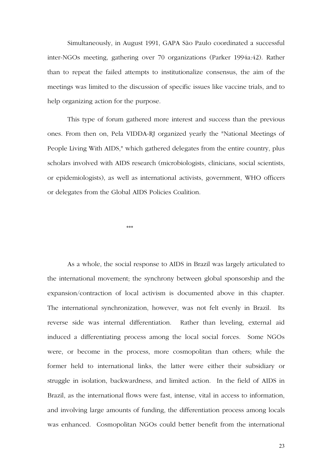Simultaneously, in August 1991, GAPA São Paulo coordinated a successful inter-NGOs meeting, gathering over 70 organizations (Parker 1994a:42). Rather than to repeat the failed attempts to institutionalize consensus, the aim of the meetings was limited to the discussion of specific issues like vaccine trials, and to help organizing action for the purpose.

This type of forum gathered more interest and success than the previous ones. From then on, Pela VIDDA-RJ organized yearly the "National Meetings of People Living With AIDS," which gathered delegates from the entire country, plus scholars involved with AIDS research (microbiologists, clinicians, social scientists, or epidemiologists), as well as international activists, government, WHO officers or delegates from the Global AIDS Policies Coalition.

 $***$ 

As a whole, the social response to AIDS in Brazil was largely articulated to the international movement; the synchrony between global sponsorship and the expansion/contraction of local activism is documented above in this chapter. The international synchronization, however, was not felt evenly in Brazil. Its reverse side was internal differentiation. Rather than leveling, external aid induced a differentiating process among the local social forces. Some NGOs were, or become in the process, more cosmopolitan than others; while the former held to international links, the latter were either their subsidiary or struggle in isolation, backwardness, and limited action. In the field of AIDS in Brazil, as the international flows were fast, intense, vital in access to information, and involving large amounts of funding, the differentiation process among locals was enhanced. Cosmopolitan NGOs could better benefit from the international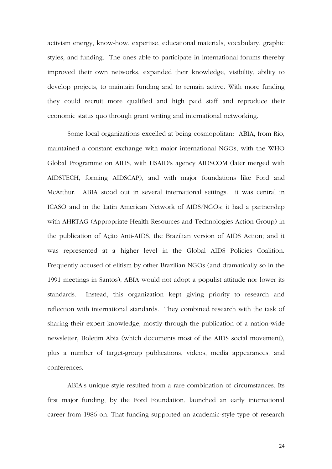activism energy, know-how, expertise, educational materials, vocabulary, graphic styles, and funding. The ones able to participate in international forums thereby improved their own networks, expanded their knowledge, visibility, ability to develop projects, to maintain funding and to remain active. With more funding they could recruit more qualified and high paid staff and reproduce their economic status quo through grant writing and international networking.

Some local organizations excelled at being cosmopolitan: ABIA, from Rio, maintained a constant exchange with major international NGOs, with the WHO Global Programme on AIDS, with USAID's agency AIDSCOM (later merged with AIDSTECH, forming AIDSCAP), and with major foundations like Ford and McArthur. ABIA stood out in several international settings: it was central in ICASO and in the Latin American Network of AIDS/NGOs; it had a partnership with AHRTAG (Appropriate Health Resources and Technologies Action Group) in the publication of Ação Anti-AIDS, the Brazilian version of AIDS Action; and it was represented at a higher level in the Global AIDS Policies Coalition. Frequently accused of elitism by other Brazilian NGOs (and dramatically so in the 1991 meetings in Santos), ABIA would not adopt a populist attitude nor lower its standards. Instead, this organization kept giving priority to research and reflection with international standards. They combined research with the task of sharing their expert knowledge, mostly through the publication of a nation-wide newsletter, Boletim Abia (which documents most of the AIDS social movement), plus a number of target-group publications, videos, media appearances, and conferences.

ABIA's unique style resulted from a rare combination of circumstances. Its first major funding, by the Ford Foundation, launched an early international career from 1986 on. That funding supported an academic-style type of research

24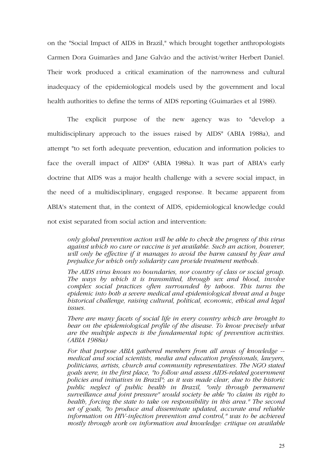on the "Social Impact of AIDS in Brazil," which brought together anthropologists Carmen Dora Guimarães and Jane Galvão and the activist/writer Herbert Daniel. Their work produced a critical examination of the narrowness and cultural inadequacy of the epidemiological models used by the government and local health authorities to define the terms of AIDS reporting (Guimarães et al 1988).

The explicit purpose of the new agency was to "develop a multidisciplinary approach to the issues raised by AIDS" (ABIA 1988a), and attempt "to set forth adequate prevention, education and information policies to face the overall impact of AIDS" (ABIA 1988a). It was part of ABIA's early doctrine that AIDS was a major health challenge with a severe social impact, in the need of a multidisciplinary, engaged response. It became apparent from ABIA's statement that, in the context of AIDS, epidemiological knowledge could not exist separated from social action and intervention:

*only global prevention action will be able to check the progress of this virus against which no cure or vaccine is yet available. Such an action, however, will only be effective if it manages to avoid the harm caused by fear and prejudice for which only solidarity can provide treatment methods.* 

*The AIDS virus knows no boundaries, nor country of class or social group. The ways by which it is transmitted, through sex and blood, involve complex social practices often surrounded by taboos. This turns the epidemic into both a severe medical and epidemiological threat and a huge historical challenge, raising cultural, political, economic, ethical and legal issues.* 

*There are many facets of social life in every country which are brought to bear on the epidemiological profile of the disease. To know precisely what are the multiple aspects is the fundamental topic of prevention activities. (ABIA 1988a)* 

*For that purpose ABIA gathered members from all areas of knowledge - medical and social scientists, media and education professionals, lawyers, politicians, artists, church and community representatives. The NGO stated goals were, in the first place, "to follow and assess AIDS-related government policies and initiatives in Brazil"; as it was made clear, due to the historic public neglect of public health in Brazil, "only through permanent surveillance and joint pressure" would society be able "to claim its right to health, forcing the state to take on responsibility in this area." The second set of goals, "to produce and disseminate updated, accurate and reliable information on HIV-infection prevention and control," was to be achieved mostly through work on information and knowledge: critique on available*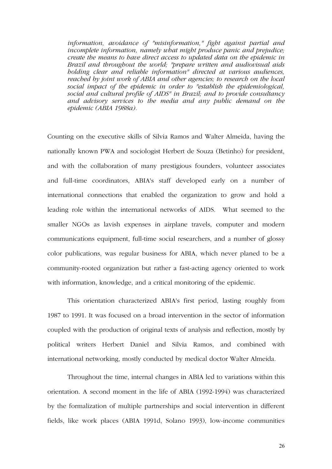*information, avoidance of "misinformation," fight against partial and incomplete information, namely what might produce panic and prejudice; create the means to have direct access to updated data on the epidemic in Brazil and throughout the world; "prepare written and audiovisual aids holding clear and reliable information" directed at various audiences, reached by joint work of ABIA and other agencies; to research on the local social impact of the epidemic in order to "establish the epidemiological, social and cultural profile of AIDS" in Brazil; and to provide consultancy and advisory services to the media and any public demand on the epidemic (ABIA 1988a).* 

Counting on the executive skills of Silvia Ramos and Walter Almeida, having the nationally known PWA and sociologist Herbert de Souza (Betinho) for president, and with the collaboration of many prestigious founders, volunteer associates and full-time coordinators, ABIA's staff developed early on a number of international connections that enabled the organization to grow and hold a leading role within the international networks of AIDS. What seemed to the smaller NGOs as lavish expenses in airplane travels, computer and modern communications equipment, full-time social researchers, and a number of glossy color publications, was regular business for ABIA, which never planed to be a community-rooted organization but rather a fast-acting agency oriented to work with information, knowledge, and a critical monitoring of the epidemic.

This orientation characterized ABIA's first period, lasting roughly from 1987 to 1991. It was focused on a broad intervention in the sector of information coupled with the production of original texts of analysis and reflection, mostly by political writers Herbert Daniel and Silvia Ramos, and combined with international networking, mostly conducted by medical doctor Walter Almeida.

Throughout the time, internal changes in ABIA led to variations within this orientation. A second moment in the life of ABIA (1992-1994) was characterized by the formalization of multiple partnerships and social intervention in different fields, like work places (ABIA 1991d, Solano 1993), low-income communities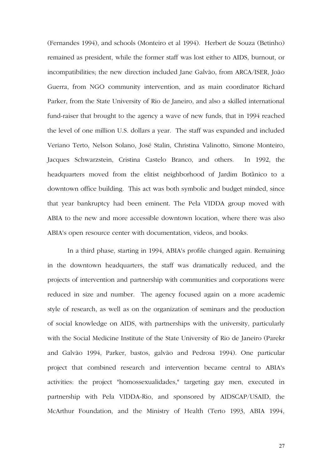(Fernandes 1994), and schools (Monteiro et al 1994). Herbert de Souza (Betinho) remained as president, while the former staff was lost either to AIDS, burnout, or incompatibilities; the new direction included Jane Galvão, from ARCA/ISER, João Guerra, from NGO community intervention, and as main coordinator Richard Parker, from the State University of Rio de Janeiro, and also a skilled international fund-raiser that brought to the agency a wave of new funds, that in 1994 reached the level of one million U.S. dollars a year. The staff was expanded and included Veriano Terto, Nelson Solano, José Stalin, Christina Valinotto, Simone Monteiro, Jacques Schwarzstein, Cristina Castelo Branco, and others. In 1992, the headquarters moved from the elitist neighborhood of Jardim Botânico to a downtown office building. This act was both symbolic and budget minded, since that year bankruptcy had been eminent. The Pela VIDDA group moved with ABIA to the new and more accessible downtown location, where there was also ABIA's open resource center with documentation, videos, and books.

In a third phase, starting in 1994, ABIA's profile changed again. Remaining in the downtown headquarters, the staff was dramatically reduced, and the projects of intervention and partnership with communities and corporations were reduced in size and number. The agency focused again on a more academic style of research, as well as on the organization of seminars and the production of social knowledge on AIDS, with partnerships with the university, particularly with the Social Medicine Institute of the State University of Rio de Janeiro (Parekr and Galvão 1994, Parker, bastos, galvão and Pedrosa 1994). One particular project that combined research and intervention became central to ABIA's activities: the project "homossexualidades," targeting gay men, executed in partnership with Pela VIDDA-Rio, and sponsored by AIDSCAP/USAID, the McArthur Foundation, and the Ministry of Health (Terto 1993, ABIA 1994,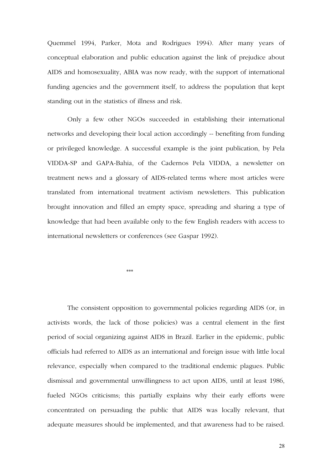Quemmel 1994, Parker, Mota and Rodrigues 1994). After many years of conceptual elaboration and public education against the link of prejudice about AIDS and homosexuality, ABIA was now ready, with the support of international funding agencies and the government itself, to address the population that kept standing out in the statistics of illness and risk.

Only a few other NGOs succeeded in establishing their international networks and developing their local action accordingly -- benefiting from funding or privileged knowledge. A successful example is the joint publication, by Pela VIDDA-SP and GAPA-Bahia, of the Cadernos Pela VIDDA, a newsletter on treatment news and a glossary of AIDS-related terms where most articles were translated from international treatment activism newsletters. This publication brought innovation and filled an empty space, spreading and sharing a type of knowledge that had been available only to the few English readers with access to international newsletters or conferences (see Gaspar 1992).

 $\begin{aligned} \mathcal{H}\cdot\mathcal{H}\cdot\mathcal{H}\cdot\mathcal{H}\cdot\mathcal{H}\cdot\mathcal{H}\cdot\mathcal{H}\cdot\mathcal{H}\cdot\mathcal{H}\cdot\mathcal{H}\cdot\mathcal{H}\cdot\mathcal{H}\cdot\mathcal{H}\cdot\mathcal{H}\cdot\mathcal{H}\cdot\mathcal{H}\cdot\mathcal{H}\cdot\mathcal{H}\cdot\mathcal{H}\cdot\mathcal{H}\cdot\mathcal{H}\cdot\mathcal{H}\cdot\mathcal{H}\cdot\mathcal{H}\cdot\mathcal{H}\cdot\mathcal{H}\cdot\mathcal{H}\cdot\mathcal{H}\cdot\mathcal{H}\cdot\mathcal{H}\cdot\mathcal{H$ 

The consistent opposition to governmental policies regarding AIDS (or, in activists words, the lack of those policies) was a central element in the first period of social organizing against AIDS in Brazil. Earlier in the epidemic, public officials had referred to AIDS as an international and foreign issue with little local relevance, especially when compared to the traditional endemic plagues. Public dismissal and governmental unwillingness to act upon AIDS, until at least 1986, fueled NGOs criticisms; this partially explains why their early efforts were concentrated on persuading the public that AIDS was locally relevant, that adequate measures should be implemented, and that awareness had to be raised.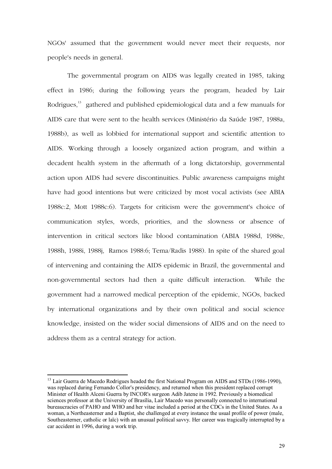NGOs' assumed that the government would never meet their requests, nor people's needs in general.

The governmental program on AIDS was legally created in 1985, taking effect in 1986; during the following years the program, headed by Lair Rodrigues,<sup>13</sup> gathered and published epidemiological data and a few manuals for AIDS care that were sent to the health services (Ministério da Saúde 1987, 1988a, 1988b), as well as lobbied for international support and scientific attention to AIDS. Working through a loosely organized action program, and within a decadent health system in the aftermath of a long dictatorship, governmental action upon AIDS had severe discontinuities. Public awareness campaigns might have had good intentions but were criticized by most vocal activists (see ABIA 1988c:2, Mott 1988c:6). Targets for criticism were the government's choice of communication styles, words, priorities, and the slowness or absence of intervention in critical sectors like blood contamination (ABIA 1988d, 1988e, 1988h, 1988i, 1988j, Ramos 1988:6; Tema/Radis 1988). In spite of the shared goal of intervening and containing the AIDS epidemic in Brazil, the governmental and non-governmental sectors had then a quite difficult interaction. While the government had a narrowed medical perception of the epidemic, NGOs, backed by international organizations and by their own political and social science knowledge, insisted on the wider social dimensions of AIDS and on the need to address them as a central strategy for action.

<sup>&</sup>lt;sup>13</sup> Lair Guerra de Macedo Rodrigues headed the first National Program on AIDS and STDs (1986-1990), was replaced during Fernando Collor's presidency, and returned when this president replaced corrupt Minister of Health Alceni Guerra by INCOR's surgeon Adib Jatene in 1992. Previously a biomedical sciences professor at the University of BrasÌlia, Lair Macedo was personally connected to international bureaucracies of PAHO and WHO and her vitae included a period at the CDCs in the United States. As a woman, a Northeasterner and a Baptist, she challenged at every instance the usual profile of power (male, Southeasterner, catholic or laïc) with an unusual political savvy. Her career was tragically interrupted by a car accident in 1996, during a work trip.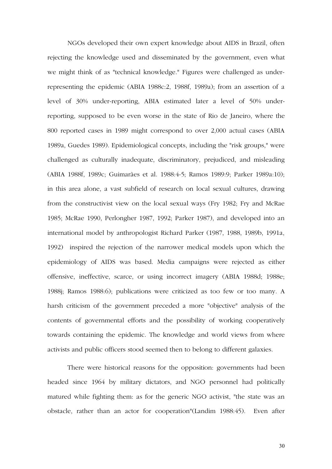NGOs developed their own expert knowledge about AIDS in Brazil, often rejecting the knowledge used and disseminated by the government, even what we might think of as "technical knowledge." Figures were challenged as underrepresenting the epidemic (ABIA 1988c:2, 1988f, 1989a); from an assertion of a level of 30% under-reporting, ABIA estimated later a level of 50% underreporting, supposed to be even worse in the state of Rio de Janeiro, where the 800 reported cases in 1989 might correspond to over 2,000 actual cases (ABIA 1989a, Guedes 1989). Epidemiological concepts, including the "risk groups," were challenged as culturally inadequate, discriminatory, prejudiced, and misleading (ABIA 1988f, 1989c; Guimarães et al. 1988:4-5; Ramos 1989:9; Parker 1989a:10); in this area alone, a vast subfield of research on local sexual cultures, drawing from the constructivist view on the local sexual ways (Fry 1982; Fry and McRae 1985; McRae 1990, Perlongher 1987, 1992; Parker 1987), and developed into an international model by anthropologist Richard Parker (1987, 1988, 1989b, 1991a, 1992) inspired the rejection of the narrower medical models upon which the epidemiology of AIDS was based. Media campaigns were rejected as either offensive, ineffective, scarce, or using incorrect imagery (ABIA 1988d; 1988e; 1988j; Ramos 1988:6); publications were criticized as too few or too many. A harsh criticism of the government preceded a more "objective" analysis of the contents of governmental efforts and the possibility of working cooperatively towards containing the epidemic. The knowledge and world views from where activists and public officers stood seemed then to belong to different galaxies.

There were historical reasons for the opposition: governments had been headed since 1964 by military dictators, and NGO personnel had politically matured while fighting them: as for the generic NGO activist, "the state was an obstacle, rather than an actor for cooperation"(Landim 1988:45). Even after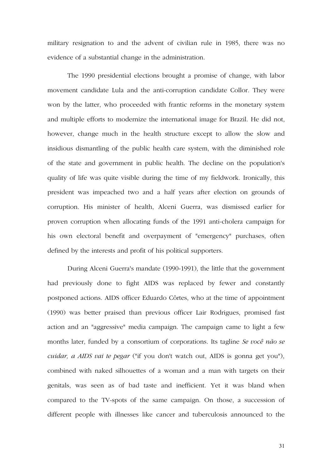military resignation to and the advent of civilian rule in 1985, there was no evidence of a substantial change in the administration.

The 1990 presidential elections brought a promise of change, with labor movement candidate Lula and the anti-corruption candidate Collor. They were won by the latter, who proceeded with frantic reforms in the monetary system and multiple efforts to modernize the international image for Brazil. He did not, however, change much in the health structure except to allow the slow and insidious dismantling of the public health care system, with the diminished role of the state and government in public health. The decline on the population's quality of life was quite visible during the time of my fieldwork. Ironically, this president was impeached two and a half years after election on grounds of corruption. His minister of health, Alceni Guerra, was dismissed earlier for proven corruption when allocating funds of the 1991 anti-cholera campaign for his own electoral benefit and overpayment of "emergency" purchases, often defined by the interests and profit of his political supporters.

During Alceni Guerra's mandate (1990-1991), the little that the government had previously done to fight AIDS was replaced by fewer and constantly postponed actions. AIDS officer Eduardo Côrtes, who at the time of appointment (1990) was better praised than previous officer Lair Rodrigues, promised fast action and an "aggressive" media campaign. The campaign came to light a few months later, funded by a consortium of corporations. Its tagline *Se você não se cuidar, a AIDS vai te pegar* ("if you don't watch out, AIDS is gonna get you"), combined with naked silhouettes of a woman and a man with targets on their genitals, was seen as of bad taste and inefficient. Yet it was bland when compared to the TV-spots of the same campaign. On those, a succession of different people with illnesses like cancer and tuberculosis announced to the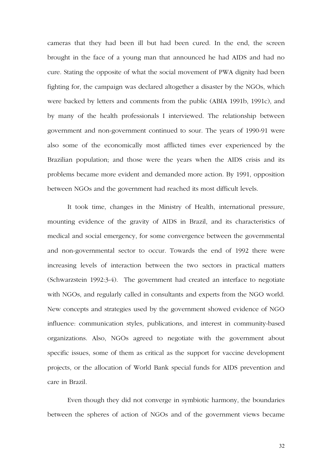cameras that they had been ill but had been cured. In the end, the screen brought in the face of a young man that announced he had AIDS and had no cure. Stating the opposite of what the social movement of PWA dignity had been fighting for, the campaign was declared altogether a disaster by the NGOs, which were backed by letters and comments from the public (ABIA 1991b, 1991c), and by many of the health professionals I interviewed. The relationship between government and non-government continued to sour. The years of 1990-91 were also some of the economically most afflicted times ever experienced by the Brazilian population; and those were the years when the AIDS crisis and its problems became more evident and demanded more action. By 1991, opposition between NGOs and the government had reached its most difficult levels.

It took time, changes in the Ministry of Health, international pressure, mounting evidence of the gravity of AIDS in Brazil, and its characteristics of medical and social emergency, for some convergence between the governmental and non-governmental sector to occur. Towards the end of 1992 there were increasing levels of interaction between the two sectors in practical matters (Schwarzstein 1992:3-4). The government had created an interface to negotiate with NGOs, and regularly called in consultants and experts from the NGO world. New concepts and strategies used by the government showed evidence of NGO influence: communication styles, publications, and interest in community-based organizations. Also, NGOs agreed to negotiate with the government about specific issues, some of them as critical as the support for vaccine development projects, or the allocation of World Bank special funds for AIDS prevention and care in Brazil.

Even though they did not converge in symbiotic harmony, the boundaries between the spheres of action of NGOs and of the government views became

32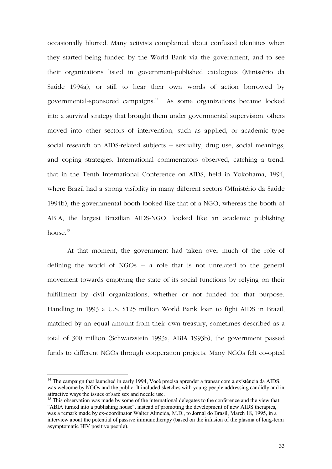occasionally blurred. Many activists complained about confused identities when they started being funded by the World Bank via the government, and to see their organizations listed in government-published catalogues (Ministério da Saúde 1994a), or still to hear their own words of action borrowed by governmental-sponsored campaigns.14 As some organizations became locked into a survival strategy that brought them under governmental supervision, others moved into other sectors of intervention, such as applied, or academic type social research on AIDS-related subjects -- sexuality, drug use, social meanings, and coping strategies. International commentators observed, catching a trend, that in the Tenth International Conference on AIDS, held in Yokohama, 1994, where Brazil had a strong visibility in many different sectors (MInistério da Saúde 1994b), the governmental booth looked like that of a NGO, whereas the booth of ABIA, the largest Brazilian AIDS-NGO, looked like an academic publishing house  $15$ 

At that moment, the government had taken over much of the role of defining the world of NGOs -- a role that is not unrelated to the general movement towards emptying the state of its social functions by relying on their fulfillment by civil organizations, whether or not funded for that purpose. Handling in 1993 a U.S. \$125 million World Bank loan to fight AIDS in Brazil, matched by an equal amount from their own treasury, sometimes described as a total of 300 million (Schwarzstein 1993a, ABIA 1993b), the government passed funds to different NGOs through cooperation projects. Many NGOs felt co-opted

 $14$  The campaign that launched in early 1994, Você precisa aprender a transar com a existência da AIDS, was welcome by NGOs and the public. It included sketches with young people addressing candidly and in attractive ways the issues of safe sex and needle use.

<sup>&</sup>lt;sup>15</sup> This observation was made by some of the international delegates to the conference and the view that "ABIA turned into a publishing house", instead of promoting the development of new AIDS therapies, was a remark made by ex-coordinator Walter Almeida, M.D., to Jornal do Brasil, March 18, 1995, in a interview about the potential of passive immunotherapy (based on the infusion of the plasma of long-term asymptomatic HIV positive people).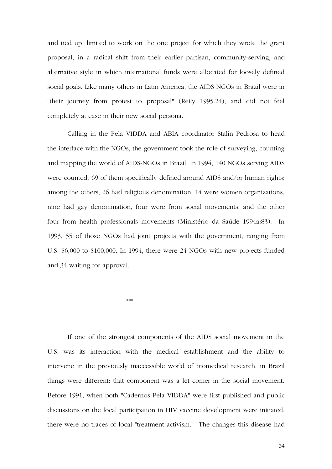and tied up, limited to work on the one project for which they wrote the grant proposal, in a radical shift from their earlier partisan, community-serving, and alternative style in which international funds were allocated for loosely defined social goals. Like many others in Latin America, the AIDS NGOs in Brazil were in "their journey from protest to proposal" (Reily 1995:24), and did not feel completely at ease in their new social persona.

Calling in the Pela VIDDA and ABIA coordinator Stalin Pedrosa to head the interface with the NGOs, the government took the role of surveying, counting and mapping the world of AIDS-NGOs in Brazil. In 1994, 140 NGOs serving AIDS were counted, 69 of them specifically defined around AIDS and/or human rights; among the others, 26 had religious denomination, 14 were women organizations, nine had gay denomination, four were from social movements, and the other four from health professionals movements (Ministério da Saúde 1994a:83). In 1993, 55 of those NGOs had joint projects with the government, ranging from U.S. \$6,000 to \$100,000. In 1994, there were 24 NGOs with new projects funded and 34 waiting for approval.

 $***$ 

If one of the strongest components of the AIDS social movement in the U.S. was its interaction with the medical establishment and the ability to intervene in the previously inaccessible world of biomedical research, in Brazil things were different: that component was a let comer in the social movement. Before 1991, when both "Cadernos Pela VIDDA" were first published and public discussions on the local participation in HIV vaccine development were initiated, there were no traces of local "treatment activism." The changes this disease had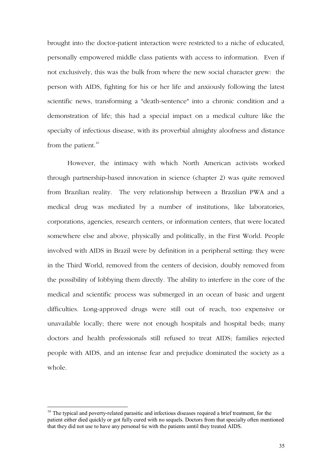brought into the doctor-patient interaction were restricted to a niche of educated, personally empowered middle class patients with access to information. Even if not exclusively, this was the bulk from where the new social character grew: the person with AIDS, fighting for his or her life and anxiously following the latest scientific news, transforming a "death-sentence" into a chronic condition and a demonstration of life; this had a special impact on a medical culture like the specialty of infectious disease, with its proverbial almighty aloofness and distance from the patient. $16$ 

However, the intimacy with which North American activists worked through partnership-based innovation in science (chapter 2) was quite removed from Brazilian reality. The very relationship between a Brazilian PWA and a medical drug was mediated by a number of institutions, like laboratories, corporations, agencies, research centers, or information centers, that were located somewhere else and above, physically and politically, in the First World. People involved with AIDS in Brazil were by definition in a peripheral setting: they were in the Third World, removed from the centers of decision, doubly removed from the possibility of lobbying them directly. The ability to interfere in the core of the medical and scientific process was submerged in an ocean of basic and urgent difficulties. Long-approved drugs were still out of reach, too expensive or unavailable locally; there were not enough hospitals and hospital beds; many doctors and health professionals still refused to treat AIDS; families rejected people with AIDS, and an intense fear and prejudice dominated the society as a whole.

<sup>&</sup>lt;sup>16</sup> The typical and poverty-related parasitic and infectious diseases required a brief treatment, for the patient either died quickly or got fully cured with no sequels. Doctors from that specialty often mentioned that they did not use to have any personal tie with the patients umtil they treated AIDS.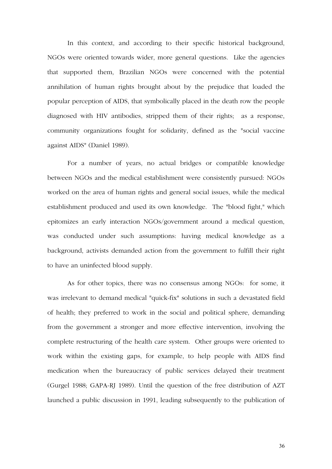In this context, and according to their specific historical background, NGOs were oriented towards wider, more general questions. Like the agencies that supported them, Brazilian NGOs were concerned with the potential annihilation of human rights brought about by the prejudice that loaded the popular perception of AIDS, that symbolically placed in the death row the people diagnosed with HIV antibodies, stripped them of their rights; as a response, community organizations fought for solidarity, defined as the "social vaccine against AIDS" (Daniel 1989).

For a number of years, no actual bridges or compatible knowledge between NGOs and the medical establishment were consistently pursued: NGOs worked on the area of human rights and general social issues, while the medical establishment produced and used its own knowledge. The "blood fight," which epitomizes an early interaction NGOs/government around a medical question, was conducted under such assumptions: having medical knowledge as a background, activists demanded action from the government to fulfill their right to have an uninfected blood supply.

As for other topics, there was no consensus among NGOs: for some, it was irrelevant to demand medical "quick-fix" solutions in such a devastated field of health; they preferred to work in the social and political sphere, demanding from the government a stronger and more effective intervention, involving the complete restructuring of the health care system. Other groups were oriented to work within the existing gaps, for example, to help people with AIDS find medication when the bureaucracy of public services delayed their treatment (Gurgel 1988; GAPA-RJ 1989). Until the question of the free distribution of AZT launched a public discussion in 1991, leading subsequently to the publication of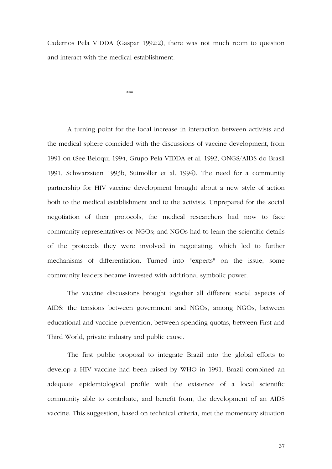Cadernos Pela VIDDA (Gaspar 1992:2), there was not much room to question and interact with the medical establishment.

 $***$ 

A turning point for the local increase in interaction between activists and the medical sphere coincided with the discussions of vaccine development, from 1991 on (See Beloqui 1994, Grupo Pela VIDDA et al. 1992, ONGS/AIDS do Brasil 1991, Schwarzstein 1993b, Sutmoller et al. 1994). The need for a community partnership for HIV vaccine development brought about a new style of action both to the medical establishment and to the activists. Unprepared for the social negotiation of their protocols, the medical researchers had now to face community representatives or NGOs; and NGOs had to learn the scientific details of the protocols they were involved in negotiating, which led to further mechanisms of differentiation. Turned into "experts" on the issue, some community leaders became invested with additional symbolic power.

The vaccine discussions brought together all different social aspects of AIDS: the tensions between government and NGOs, among NGOs, between educational and vaccine prevention, between spending quotas, between First and Third World, private industry and public cause.

The first public proposal to integrate Brazil into the global efforts to develop a HIV vaccine had been raised by WHO in 1991. Brazil combined an adequate epidemiological profile with the existence of a local scientific community able to contribute, and benefit from, the development of an AIDS vaccine. This suggestion, based on technical criteria, met the momentary situation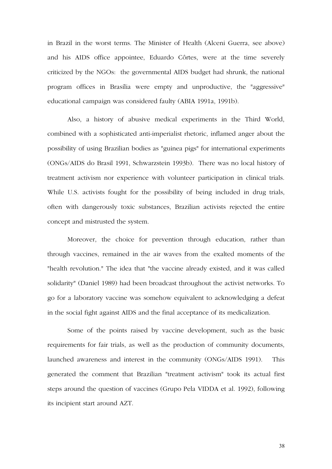in Brazil in the worst terms. The Minister of Health (Alceni Guerra, see above) and his AIDS office appointee, Eduardo Côrtes, were at the time severely criticized by the NGOs: the governmental AIDS budget had shrunk, the national program offices in Brasília were empty and unproductive, the "aggressive" educational campaign was considered faulty (ABIA 1991a, 1991b).

Also, a history of abusive medical experiments in the Third World, combined with a sophisticated anti-imperialist rhetoric, inflamed anger about the possibility of using Brazilian bodies as "guinea pigs" for international experiments (ONGs/AIDS do Brasil 1991, Schwarzstein 1993b). There was no local history of treatment activism nor experience with volunteer participation in clinical trials. While U.S. activists fought for the possibility of being included in drug trials, often with dangerously toxic substances, Brazilian activists rejected the entire concept and mistrusted the system.

Moreover, the choice for prevention through education, rather than through vaccines, remained in the air waves from the exalted moments of the "health revolution." The idea that "the vaccine already existed, and it was called solidarity" (Daniel 1989) had been broadcast throughout the activist networks. To go for a laboratory vaccine was somehow equivalent to acknowledging a defeat in the social fight against AIDS and the final acceptance of its medicalization.

Some of the points raised by vaccine development, such as the basic requirements for fair trials, as well as the production of community documents, launched awareness and interest in the community (ONGs/AIDS 1991). This generated the comment that Brazilian "treatment activism" took its actual first steps around the question of vaccines (Grupo Pela VIDDA et al. 1992), following its incipient start around AZT.

38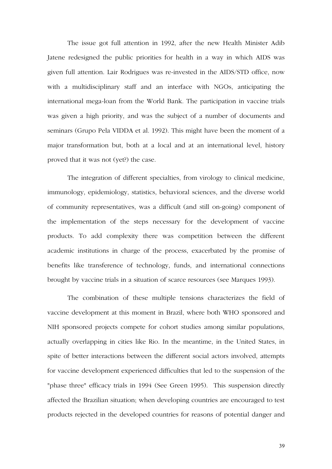The issue got full attention in 1992, after the new Health Minister Adib Jatene redesigned the public priorities for health in a way in which AIDS was given full attention. Lair Rodrigues was re-invested in the AIDS/STD office, now with a multidisciplinary staff and an interface with NGOs, anticipating the international mega-loan from the World Bank. The participation in vaccine trials was given a high priority, and was the subject of a number of documents and seminars (Grupo Pela VIDDA et al. 1992). This might have been the moment of a major transformation but, both at a local and at an international level, history proved that it was not (yet?) the case.

The integration of different specialties, from virology to clinical medicine, immunology, epidemiology, statistics, behavioral sciences, and the diverse world of community representatives, was a difficult (and still on-going) component of the implementation of the steps necessary for the development of vaccine products. To add complexity there was competition between the different academic institutions in charge of the process, exacerbated by the promise of benefits like transference of technology, funds, and international connections brought by vaccine trials in a situation of scarce resources (see Marques 1993).

The combination of these multiple tensions characterizes the field of vaccine development at this moment in Brazil, where both WHO sponsored and NIH sponsored projects compete for cohort studies among similar populations, actually overlapping in cities like Rio. In the meantime, in the United States, in spite of better interactions between the different social actors involved, attempts for vaccine development experienced difficulties that led to the suspension of the "phase three" efficacy trials in 1994 (See Green 1995). This suspension directly affected the Brazilian situation; when developing countries are encouraged to test products rejected in the developed countries for reasons of potential danger and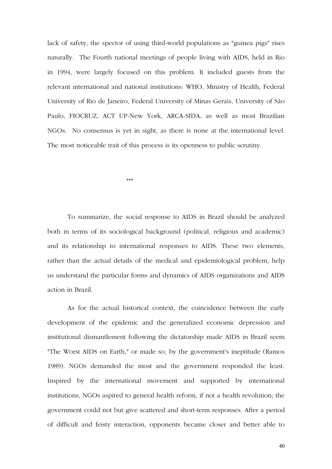lack of safety, the spector of using third-world populations as "guinea pigs" rises naturally. The Fourth national meetings of people living with AIDS, held in Rio in 1994, were largely focused on this problem. It included guests from the relevant international and national institutions: WHO, Ministry of Health, Federal University of Rio de Janeiro, Federal University of Minas Gerais, University of São Paulo, FIOCRUZ, ACT UP-New York, ARCA-SIDA, as well as most Brazilian NGOs. No consensus is yet in sight, as there is none at the international level. The most noticeable trait of this process is its openness to public scrutiny.

 $***$ 

To summarize, the social response to AIDS in Brazil should be analyzed both in terms of its sociological background (political, religious and academic) and its relationship to international responses to AIDS. These two elements, rather than the actual details of the medical and epidemiological problem, help us understand the particular forms and dynamics of AIDS organizations and AIDS action in Brazil.

As for the actual historical context, the coincidence between the early development of the epidemic and the generalized economic depression and institutional dismantlement following the dictatorship made AIDS in Brazil seem "The Worst AIDS on Earth," or made so, by the government's ineptitude (Ramos 1989). NGOs demanded the most and the government responded the least. Inspired by the international movement and supported by international institutions, NGOs aspired to general health reform, if not a health revolution; the government could not but give scattered and short-term responses. After a period of difficult and feisty interaction, opponents became closer and better able to

40